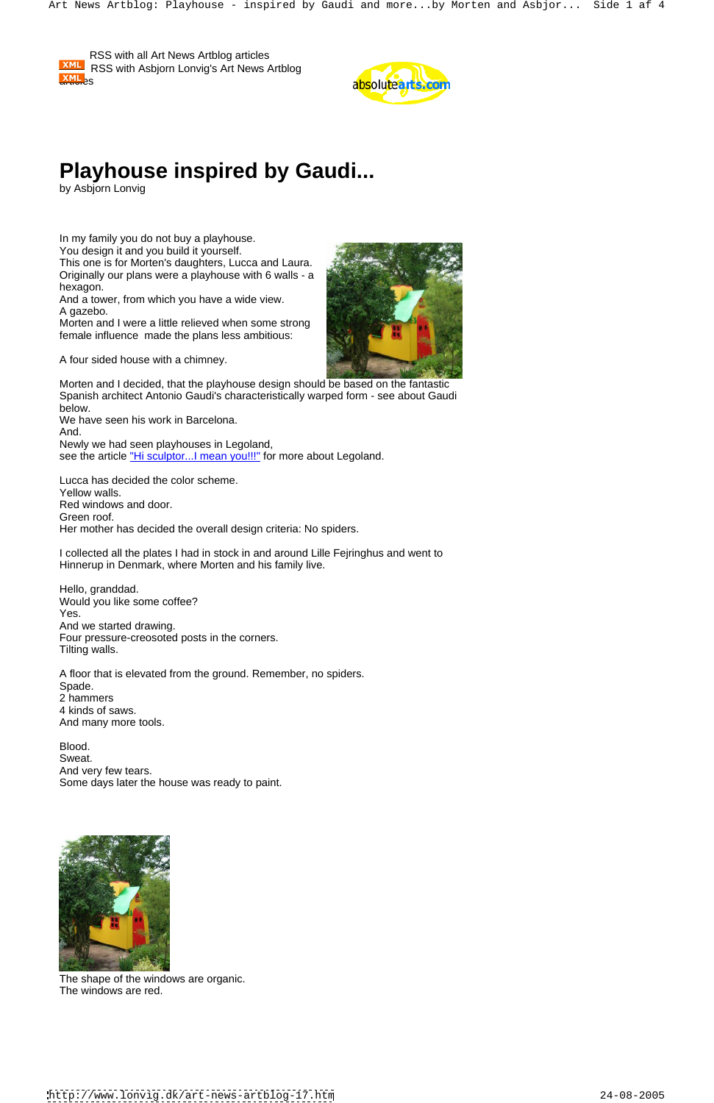## **Playhouse inspired by Gaudi...**

This one is for Morten's daughters, Lucca and Laura. Originally our plans were a playhouse with 6 walls - a hexagon. The contract of the contract of the contract of the contract of the contract of the contract of the contract of the contract of the contract of the contract of the contract of the contract of the contract of the c

by Asbjorn Lonvig

And a tower, from which you have a wide view. A gazebo. A state of the contract of the contract of the contract of the contract of the contract of the contract of the contract of the contract of the contract of the contract of the contract of the contract of the contr

In my family you do not buy a playhouse. You design it and you build it yourself.

We have seen his work in Barcelona. And. Newly we had seen playhouses in Legoland, see the article "Hi sculptor... I mean you!!!" for more about Legoland.

Morten and I were a little relieved when some strong female influence made the plans less ambitious:

A four sided house with a chimney.

Morten and I decided, that the playhouse design should be based on the fantastic Spanish architect Antonio Gaudi's characteristically warped form - see about Gaudi below.

Lucca has decided the color scheme. Yellow walls. Red windows and door. Green roof. Her mother has decided the overall design criteria: No spiders.

I collected all the plates I had in stock in and around Lille Fejringhus and went to Hinnerup in Denmark, where Morten and his family live.

Hello, granddad. Would you like some coffee? Yes. And we started drawing. Four pressure-creosoted posts in the corners. Tilting walls.

A floor that is elevated from the ground. Remember, no spiders. Spade. The contract of the contract of the contract of the contract of the contract of the contract of the contract of the contract of the contract of the contract of the contract of the contract of the contract of the con 2 hammers 4 kinds of saws. And many more tools.

Blood. Sweat. **Sweat.** The contract of the contract of the contract of the contract of the contract of the contract of the contract of the contract of the contract of the contract of the contract of the contract of the contract o And very few tears. Some days later the house was ready to paint.





The shape of the windows are organic. The windows are red.

 RSS with all Art News Artblog articles RSS with Asbjorn Lonvig's Art News Artblog  $\frac{\text{AML}}{\text{A}}$ 



<http://www.lonvig.dk/art-news-artblog-17.htm> 24-08-2005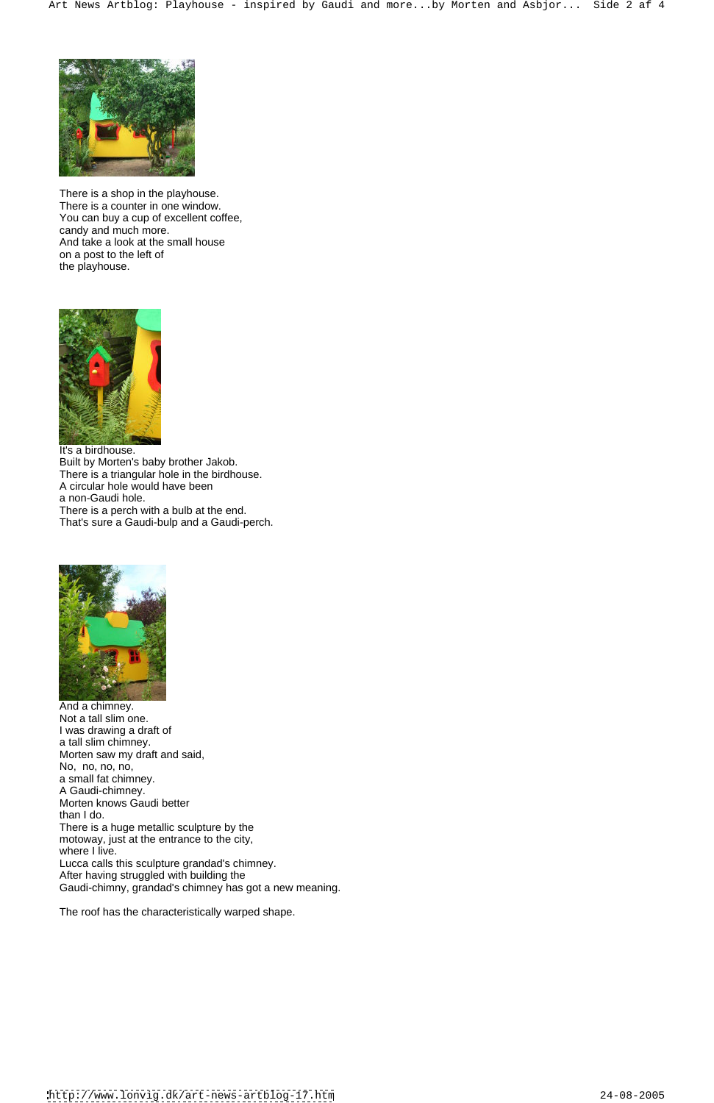

There is a shop in the playhouse. There is a counter in one window. You can buy a cup of excellent coffee, candy and much more. And take a look at the small house on a post to the left of the playhouse.



It's a birdhouse. Built by Morten's baby brother Jakob. There is a triangular hole in the birdhouse. A circular hole would have been a non-Gaudi hole. There is a perch with a bulb at the end. That's sure a Gaudi-bulp and a Gaudi-perch.



And a chimney. Not a tall slim one. I was drawing a draft of a tall slim chimney. Morten saw my draft and said, No, no, no, no, a small fat chimney. A Gaudi-chimney. Morten knows Gaudi better than I do. There is a huge metallic sculpture by the motoway, just at the entrance to the city, where I live. Lucca calls this sculpture grandad's chimney. After having struggled with building the Gaudi-chimny, grandad's chimney has got a new meaning.

The roof has the characteristically warped shape.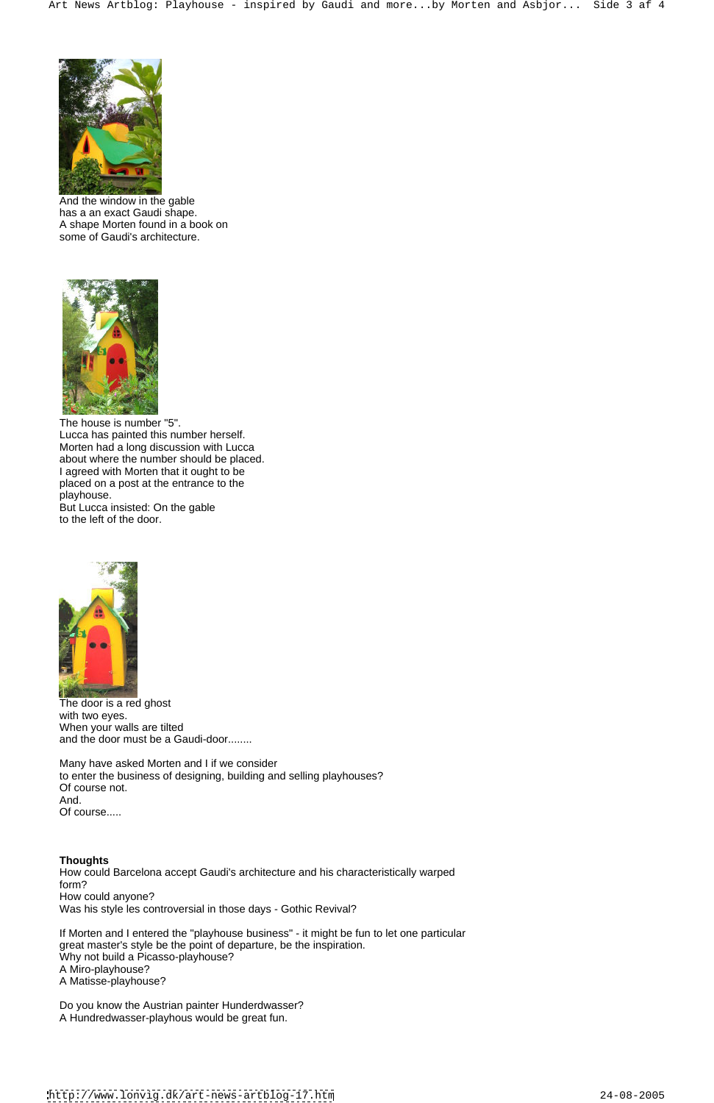

And the window in the gable has a an exact Gaudi shape. A shape Morten found in a book on some of Gaudi's architecture.



The house is number "5". Lucca has painted this number herself. Morten had a long discussion with Lucca about where the number should be placed. I agreed with Morten that it ought to be placed on a post at the entrance to the playhouse. playhouse.

Many have asked Morten and I if we consider to enter the business of designing, building and selling playhouses? Of course not. And. Of course.....

But Lucca insisted: On the gable to the left of the door.



The door is a red ghost with two eyes. When your walls are tilted and the door must be a Gaudi-door........

## **Thoughts**

How could Barcelona accept Gaudi's architecture and his characteristically warped form? How could anyone?

Was his style les controversial in those days - Gothic Revival?

If Morten and I entered the "playhouse business" - it might be fun to let one particular great master's style be the point of departure, be the inspiration. Why not build a Picasso-playhouse? A Miro-playhouse? A Matisse-playhouse?

Do you know the Austrian painter Hunderdwasser? A Hundredwasser-playhous would be great fun.

<http://www.lonvig.dk/art-news-artblog-17.htm> 24-08-2005